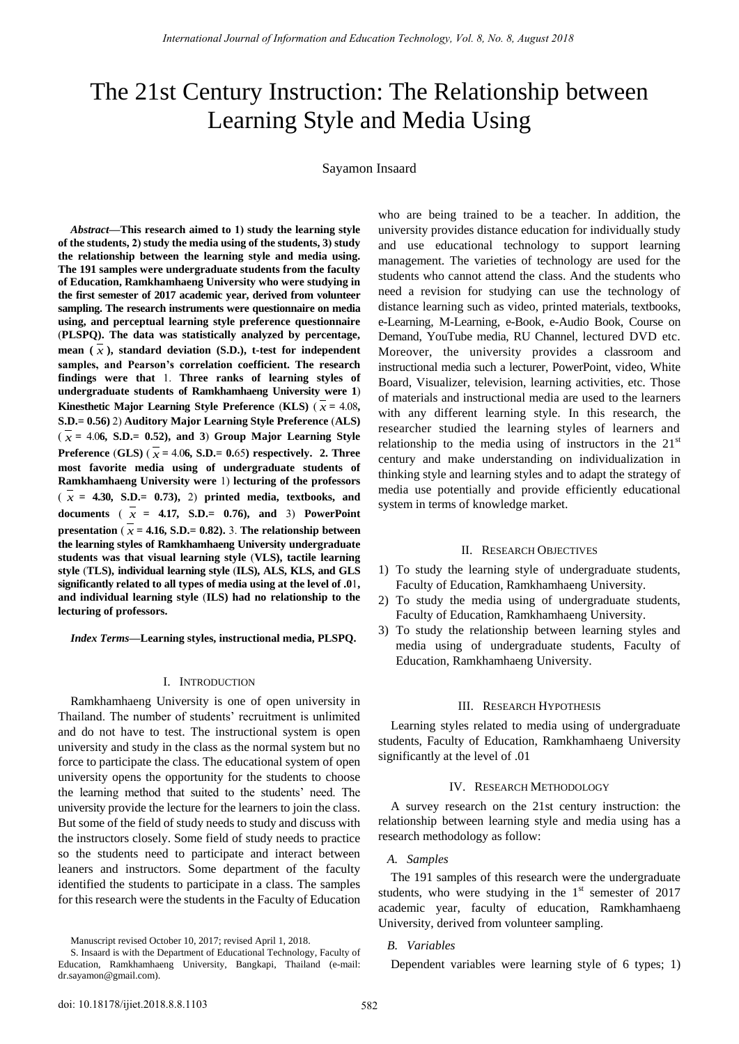# The 21st Century Instruction: The Relationship between Learning Style and Media Using

## Sayamon Insaard

*Abstract***—This research aimed to 1) study the learning style of the students, 2) study the media using of the students, 3) study the relationship between the learning style and media using. The 191 samples were undergraduate students from the faculty of Education, Ramkhamhaeng University who were studying in the first semester of 2017 academic year, derived from volunteer sampling. The research instruments were questionnaire on media using, and perceptual learning style preference questionnaire**  (**PLSPQ). The data was statistically analyzed by percentage, mean (** *x* **), standard deviation (S.D.), t-test for independent samples, and Pearson's correlation coefficient. The research findings were that** 1. **Three ranks of learning styles of undergraduate students of Ramkhamhaeng University were 1**) **Kinesthetic Major Learning Style Preference (KLS)**  $(x = 4.08,$ **S.D.= 0.56)** 2) **Auditory Major Learning Style Preference** (**ALS)**   $(x = 4.06, S.D.= 0.52)$ , and 3) Group Major Learning Style **Preference (GLS)** ( $\bar{x}$  = 4.06, **S.D.**= 0.65) respectively. 2. Three **most favorite media using of undergraduate students of Ramkhamhaeng University were** 1) **lecturing of the professors**   $(\bar{x}) = 4.30$ , S.D.= 0.73), 2) printed media, textbooks, and **documents**  $(\overline{x}) = 4.17$ , S.D.= 0.76), and 3) PowerPoint **presentation** ( $\bar{x}$  = 4.16, S.D.= 0.82). 3. The relationship between **the learning styles of Ramkhamhaeng University undergraduate students was that visual learning style** (**VLS), tactile learning style** (**TLS), individual learning style** (**ILS), ALS, KLS, and GLS significantly related to all types of media using at the level of .0**1**, and individual learning style** (**ILS) had no relationship to the lecturing of professors.**

*Index Terms***—Learning styles, instructional media, PLSPQ.** 

#### I. INTRODUCTION

Ramkhamhaeng University is one of open university in Thailand. The number of students' recruitment is unlimited and do not have to test. The instructional system is open university and study in the class as the normal system but no force to participate the class. The educational system of open university opens the opportunity for the students to choose the learning method that suited to the students' need. The university provide the lecture for the learners to join the class. But some of the field of study needs to study and discuss with the instructors closely. Some field of study needs to practice so the students need to participate and interact between leaners and instructors. Some department of the faculty identified the students to participate in a class. The samples for this research were the students in the Faculty of Education

Manuscript revised October 10, 2017; revised April 1, 2018.

who are being trained to be a teacher. In addition, the university provides distance education for individually study and use educational technology to support learning management. The varieties of technology are used for the students who cannot attend the class. And the students who need a revision for studying can use the technology of distance learning such as video, printed materials, textbooks, e-Learning, M-Learning, e-Book, e-Audio Book, Course on Demand, YouTube media, RU Channel, lectured DVD etc. Moreover, the university provides a classroom and instructional media such a lecturer, PowerPoint, video, White Board, Visualizer, television, learning activities, etc. Those of materials and instructional media are used to the learners with any different learning style. In this research, the researcher studied the learning styles of learners and relationship to the media using of instructors in the  $21<sup>st</sup>$ century and make understanding on individualization in thinking style and learning styles and to adapt the strategy of media use potentially and provide efficiently educational system in terms of knowledge market.

## II. RESEARCH OBJECTIVES

- 1) To study the learning style of undergraduate students, Faculty of Education, Ramkhamhaeng University.
- 2) To study the media using of undergraduate students, Faculty of Education, Ramkhamhaeng University.
- 3) To study the relationship between learning styles and media using of undergraduate students, Faculty of Education, Ramkhamhaeng University.

#### III. RESEARCH HYPOTHESIS

Learning styles related to media using of undergraduate students, Faculty of Education, Ramkhamhaeng University significantly at the level of .01

#### IV. RESEARCH METHODOLOGY

A survey research on the 21st century instruction: the relationship between learning style and media using has a research methodology as follow:

## *A. Samples*

The 191 samples of this research were the undergraduate students, who were studying in the  $1<sup>st</sup>$  semester of 2017 academic year, faculty of education, Ramkhamhaeng University, derived from volunteer sampling.

## *B. Variables*

Dependent variables were learning style of 6 types; 1)

S. Insaard is with the Department of Educational Technology, Faculty of Education, Ramkhamhaeng University, Bangkapi, Thailand (e-mail: dr.sayamon@gmail.com).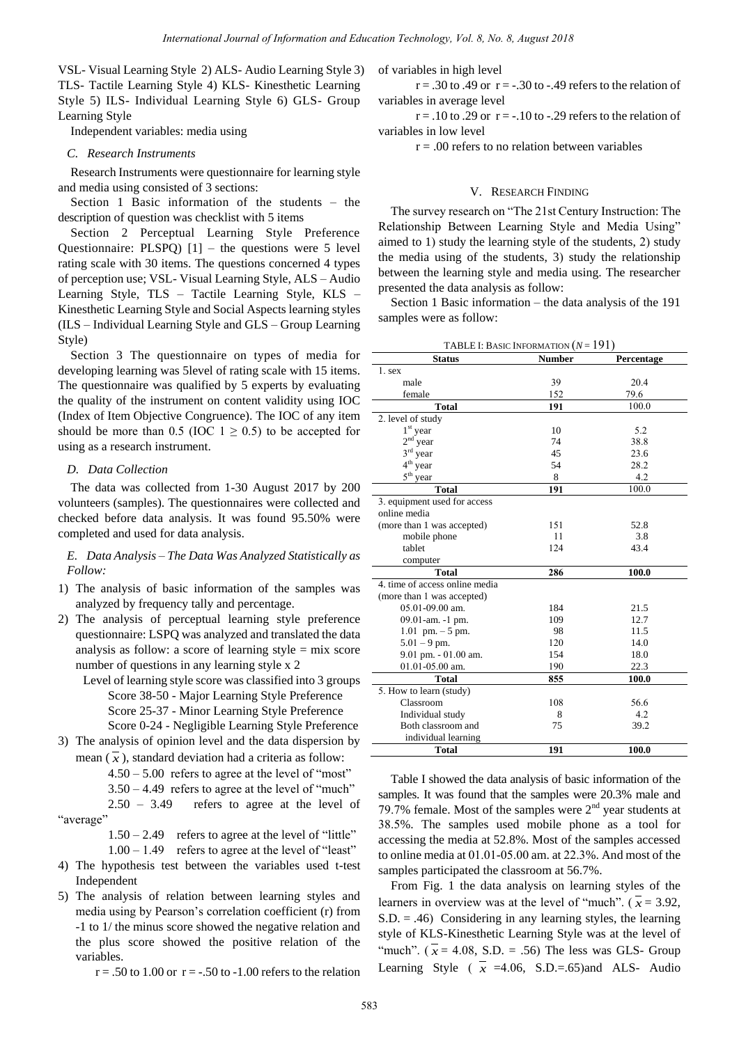VSL- Visual Learning Style 2) ALS- Audio Learning Style 3) TLS- Tactile Learning Style 4) KLS- Kinesthetic Learning Style 5) ILS- Individual Learning Style 6) GLS- Group Learning Style

Independent variables: media using

## *C. Research Instruments*

Research Instruments were questionnaire for learning style and media using consisted of 3 sections:

Section 1 Basic information of the students – the description of question was checklist with 5 items

Section 2 Perceptual Learning Style Preference Questionnaire: PLSPQ)  $[1]$  – the questions were 5 level rating scale with 30 items. The questions concerned 4 types of perception use; VSL- Visual Learning Style, ALS – Audio Learning Style, TLS – Tactile Learning Style, KLS – Kinesthetic Learning Style and Social Aspects learning styles (ILS – Individual Learning Style and GLS – Group Learning Style)

Section 3 The questionnaire on types of media for developing learning was 5level of rating scale with 15 items. The questionnaire was qualified by 5 experts by evaluating the quality of the instrument on content validity using IOC (Index of Item Objective Congruence). The IOC of any item should be more than 0.5 (IOC  $1 \ge 0.5$ ) to be accepted for using as a research instrument.

## *D. Data Collection*

The data was collected from 1-30 August 2017 by 200 volunteers (samples). The questionnaires were collected and checked before data analysis. It was found 95.50% were completed and used for data analysis.

*E. Data Analysis – The Data Was Analyzed Statistically as Follow:* 

- 1) The analysis of basic information of the samples was analyzed by frequency tally and percentage.
- 2) The analysis of perceptual learning style preference questionnaire: LSPQ was analyzed and translated the data analysis as follow: a score of learning style = mix score number of questions in any learning style x 2
	- Level of learning style score was classified into 3 groups Score 38-50 - Major Learning Style Preference Score 25-37 - Minor Learning Style Preference Score 0-24 - Negligible Learning Style Preference
- 3) The analysis of opinion level and the data dispersion by mean  $(x)$ , standard deviation had a criteria as follow:
	- $4.50 5.00$  refers to agree at the level of "most"

3.50 – 4.49 refers to agree at the level of "much"

 2.50 – 3.49 refers to agree at the level of "average"

 $1.50 - 2.49$  refers to agree at the level of "little"

- $1.00 1.49$  refers to agree at the level of "least" 4) The hypothesis test between the variables used t-test Independent
- 5) The analysis of relation between learning styles and media using by Pearson's correlation coefficient (r) from -1 to 1/ the minus score showed the negative relation and the plus score showed the positive relation of the variables.

 $r = .50$  to 1.00 or  $r = -.50$  to  $-1.00$  refers to the relation

of variables in high level

 $r = .30$  to .49 or  $r = -.30$  to  $-.49$  refers to the relation of variables in average level

 $r = .10$  to .29 or  $r = -.10$  to -.29 refers to the relation of variables in low level

 $r = .00$  refers to no relation between variables

#### V. RESEARCH FINDING

The survey research on "The 21st Century Instruction: The Relationship Between Learning Style and Media Using" aimed to 1) study the learning style of the students, 2) study the media using of the students, 3) study the relationship between the learning style and media using. The researcher presented the data analysis as follow:

Section 1 Basic information – the data analysis of the 191 samples were as follow:

| <b>TABLE I:</b> BASIC INFORMATION $(N = 191)$ |               |            |  |  |  |  |
|-----------------------------------------------|---------------|------------|--|--|--|--|
| <b>Status</b>                                 | <b>Number</b> | Percentage |  |  |  |  |
| $1.$ sex                                      |               |            |  |  |  |  |
| male                                          | 39            | 20.4       |  |  |  |  |
| female                                        | 152           | 79.6       |  |  |  |  |
| <b>Total</b>                                  | 191           | 100.0      |  |  |  |  |
| 2. level of study                             |               |            |  |  |  |  |
| $1st$ year                                    | 10            | 5.2        |  |  |  |  |
| $2^{\rm nd}$ year                             | 74            | 38.8       |  |  |  |  |
| $3^{\rm rd}$ year                             | 45            | 23.6       |  |  |  |  |
| $4th$ year                                    | 54            | 28.2       |  |  |  |  |
| $5th$ year                                    | 8             | 4.2        |  |  |  |  |
| <b>Total</b>                                  | 191           | 100.0      |  |  |  |  |
| 3. equipment used for access                  |               |            |  |  |  |  |
| online media                                  |               |            |  |  |  |  |
| (more than 1 was accepted)                    | 151           | 52.8       |  |  |  |  |
| mobile phone                                  | 11            | 3.8        |  |  |  |  |
| tablet                                        | 124           | 43.4       |  |  |  |  |
| computer                                      |               |            |  |  |  |  |
| <b>Total</b>                                  | 286           | 100.0      |  |  |  |  |
| 4. time of access online media                |               |            |  |  |  |  |
| (more than 1 was accepted)                    |               |            |  |  |  |  |
| 05.01-09.00 am.                               | 184           | 21.5       |  |  |  |  |
| 09.01-am. -1 pm.                              | 109           | 12.7       |  |  |  |  |
| $1.01$ pm. $-5$ pm.                           | 98            | 11.5       |  |  |  |  |
| $5.01 - 9$ pm.                                | 120           | 14.0       |  |  |  |  |
| $9.01$ pm. $-01.00$ am.                       | 154           | 18.0       |  |  |  |  |
| 01.01-05.00 am.                               | 190           | 22.3       |  |  |  |  |
| <b>Total</b>                                  | 855           | 100.0      |  |  |  |  |
| 5. How to learn (study)                       |               |            |  |  |  |  |
| Classroom                                     | 108           | 56.6       |  |  |  |  |
| Individual study                              | 8             | 4.2        |  |  |  |  |
| Both classroom and                            | 75            | 39.2       |  |  |  |  |
| individual learning                           |               |            |  |  |  |  |
| Total                                         | 191           | 100.0      |  |  |  |  |

Table I showed the data analysis of basic information of the samples. It was found that the samples were 20.3% male and 79.7% female. Most of the samples were  $2<sup>nd</sup>$  year students at 38.5%. The samples used mobile phone as a tool for accessing the media at 52.8%. Most of the samples accessed to online media at 01.01-05.00 am. at 22.3%. And most of the samples participated the classroom at 56.7%.

From Fig. 1 the data analysis on learning styles of the learners in overview was at the level of "much".  $(\bar{x} = 3.92,$  $S.D. = .46$ ) Considering in any learning styles, the learning style of KLS-Kinesthetic Learning Style was at the level of "much".  $(\bar{x} = 4.08, S.D. = .56)$  The less was GLS- Group Learning Style ( $\overline{x}$  =4.06, S.D.=.65)and ALS- Audio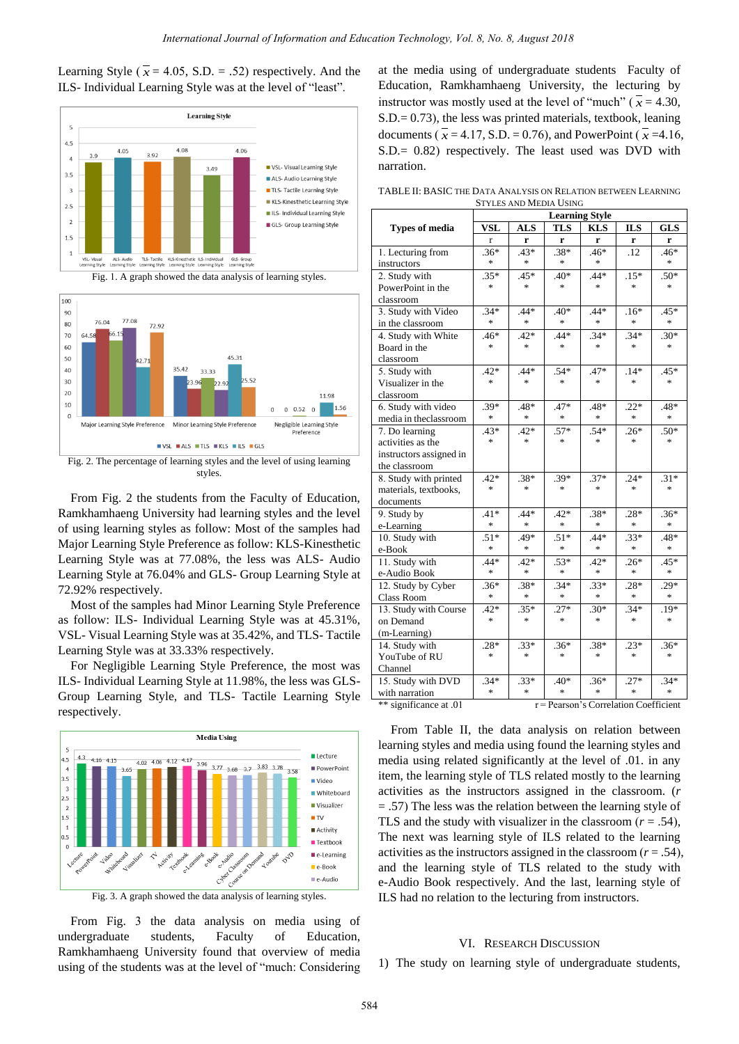Learning Style ( $\bar{x}$  = 4.05, S.D. = .52) respectively. And the ILS- Individual Learning Style was at the level of "least".





From Fig. 2 the students from the Faculty of Education, Ramkhamhaeng University had learning styles and the level of using learning styles as follow: Most of the samples had Major Learning Style Preference as follow: KLS-Kinesthetic Learning Style was at 77.08%, the less was ALS- Audio Learning Style at 76.04% and GLS- Group Learning Style at 72.92% respectively.

styles.

Most of the samples had Minor Learning Style Preference as follow: ILS- Individual Learning Style was at 45.31%, VSL- Visual Learning Style was at 35.42%, and TLS- Tactile Learning Style was at 33.33% respectively.

For Negligible Learning Style Preference, the most was ILS- Individual Learning Style at 11.98%, the less was GLS-Group Learning Style, and TLS- Tactile Learning Style respectively.





From Fig. 3 the data analysis on media using of undergraduate students, Faculty of Education, Ramkhamhaeng University found that overview of media using of the students was at the level of "much: Considering at the media using of undergraduate students Faculty of Education, Ramkhamhaeng University, the lecturing by instructor was mostly used at the level of "much" ( $\bar{x}$  = 4.30, S.D.= 0.73), the less was printed materials, textbook, leaning documents ( $\overline{x}$  = 4.17, S.D. = 0.76), and PowerPoint ( $\overline{x}$  = 4.16, S.D.= 0.82) respectively. The least used was DVD with narration.

TABLE II: BASIC THE DATA ANALYSIS ON RELATION BETWEEN LEARNING STYLES AND MEDIA USING

|                         |                                       | <b>Learning Style</b> |               |            |                                   |                                   |  |
|-------------------------|---------------------------------------|-----------------------|---------------|------------|-----------------------------------|-----------------------------------|--|
| <b>Types of media</b>   | VSL                                   | <b>ALS</b>            | <b>TLS</b>    | <b>KLS</b> | <b>ILS</b>                        | <b>GLS</b>                        |  |
|                         | r                                     | r                     | r             | r          | r                                 | r                                 |  |
| 1. Lecturing from       | $.36*$                                | $.43*$                | $.38*$        | $.46*$     | .12                               | $.46*$                            |  |
| instructors             | $\ast$                                | $\ast$                | $\ast$        | $\ast$     |                                   | $\frac{d\mathbf{x}}{d\mathbf{x}}$ |  |
| 2. Study with           | $.35*$                                | $.45*$                | $.40*$        | $.44*$     | $.15*$                            | $.50*$                            |  |
| PowerPoint in the       | $\ast$                                | $\ast$                | $\ast$        | $\ast$     | $\frac{d\mathbf{r}}{d\mathbf{r}}$ | $\frac{d\mathbf{x}}{d\mathbf{x}}$ |  |
| classroom               |                                       |                       |               |            |                                   |                                   |  |
| 3. Study with Video     | $.34*$                                | $.44*$                | $.40*$        | $.44*$     | $.16*$                            | $.45*$                            |  |
| in the classroom        | $\ast$                                | $\ast$                | $*$           | $*$        | *                                 | *                                 |  |
| 4. Study with White     | $.46*$                                | $.42*$                | $.44*$        | $.34*$     | $.34*$                            | $.30*$                            |  |
| Board in the            | $\ast$                                | $\ast$                | $\ast$        | $\ast$     | $\frac{d\mathbf{x}}{d\mathbf{x}}$ | $\ast$                            |  |
| classroom               |                                       |                       |               |            |                                   |                                   |  |
| 5. Study with           | $.42*$                                | $.44*$                | $.54*$        | .47*       | $.14*$                            | $.45*$                            |  |
| Visualizer in the       | $\frac{1}{2}$                         | $\ast$                | $\ast$        | $\ast$     | $\frac{d\mathbf{x}}{d\mathbf{x}}$ | $\frac{d\mathbf{x}}{d\mathbf{x}}$ |  |
| classroom               |                                       |                       |               |            |                                   |                                   |  |
| 6. Study with video     | $.39*$                                | .48*                  | $.47*$        | .48*       | $.22*$                            | .48*                              |  |
| media in theclassroom   | $\ast$                                | $\ast$                | $*$           | $\ast$     | *.                                | *.                                |  |
| 7. Do learning          | $.43*$                                | $.42*$                | $.57*$        | $.54*$     | $.26*$                            | $.50*$                            |  |
| activities as the       | $\ast$                                | $\ast$                | $*$           | $*$        | *                                 | $\ast$                            |  |
| instructors assigned in |                                       |                       |               |            |                                   |                                   |  |
| the classroom           |                                       |                       |               |            |                                   |                                   |  |
| 8. Study with printed   | $.42*$                                | $.38*$                | $.39*$        | $.37*$     | $.24*$                            | $.31*$                            |  |
| materials, textbooks,   | $\ast$                                | $\frac{1}{2}$         | $\ast$        | $\ast$     | $\frac{d\mathbf{x}}{d\mathbf{x}}$ | $\frac{d\mathbf{x}}{d\mathbf{x}}$ |  |
| documents               |                                       |                       |               |            |                                   |                                   |  |
| 9. Study by             | $.41*$                                | $.44*$                | $.42*$        | $.38*$     | $.28*$                            | $.36*$                            |  |
| e-Learning              | $\ast$                                | $\ast$                | $\ast$        | $\ast$     | *                                 | *                                 |  |
| 10. Study with          | $.51*$                                | .49*                  | $.51*$        | $.44*$     | $.33*$                            | .48*                              |  |
| e-Book                  | $\ast$                                | $\ast$                | $\ast$        | $\ast$     | $\frac{d\mathbf{r}}{d\mathbf{r}}$ | *                                 |  |
| 11. Study with          | $.44*$                                | $.42*$                | $.53*$        | $.42*$     | $.26*$                            | $.45*$                            |  |
| e-Audio Book            | $\ast$                                | $\ast$                | $\ast$        | $\ast$     | $\frac{d\mathbf{r}}{dt}$          | $\ast$                            |  |
| 12. Study by Cyber      | $.36*$                                | $.38*$                | $.34*$        | $.33*$     | $.28*$                            | $.29*$                            |  |
| Class Room              | $\ast$                                | $\ast$                | $\frac{1}{2}$ | $\ast$     | $\frac{d\mathbf{x}}{d\mathbf{x}}$ | *.                                |  |
| 13. Study with Course   | $.42*$                                | $.35*$                | $.27*$        | $.30*$     | $.34*$                            | $.19*$                            |  |
| on Demand               | $\ast$                                | $\ast$                | $*$           | $\ast$     | $\frac{d\mathbf{r}}{d\mathbf{r}}$ | $\ast$                            |  |
| (m-Learning)            |                                       |                       |               |            |                                   |                                   |  |
| 14. Study with          | $.28*$                                | $.33*$                | $.36*$        | $.38*$     | $.23*$                            | $.36*$                            |  |
| YouTube of RU           | $\frac{1}{2}$                         | $\frac{1}{2}$         | $\ast$        | $\ast$     | $\frac{d\mathbf{x}}{d\mathbf{x}}$ | $\frac{d\mathbf{x}}{d\mathbf{x}}$ |  |
| Channel                 |                                       |                       |               |            |                                   |                                   |  |
| 15. Study with DVD      | $.34*$                                | $.33*$                | $.40*$        | $.36*$     | $.27*$                            | $.34*$                            |  |
| with narration          | $\ast$                                | $\ast$                | ×             | $\ast$     | $\frac{d\mathbf{x}}{d\mathbf{x}}$ | $\frac{d\mathbf{r}}{d\mathbf{r}}$ |  |
| ** significance at .01  | r = Pearson's Correlation Coefficient |                       |               |            |                                   |                                   |  |

From Table II, the data analysis on relation between learning styles and media using found the learning styles and media using related significantly at the level of .01. in any item, the learning style of TLS related mostly to the learning activities as the instructors assigned in the classroom. (*r* = .57) The less was the relation between the learning style of TLS and the study with visualizer in the classroom  $(r = .54)$ , The next was learning style of ILS related to the learning activities as the instructors assigned in the classroom  $(r = .54)$ , and the learning style of TLS related to the study with e-Audio Book respectively. And the last, learning style of ILS had no relation to the lecturing from instructors.

## VI. RESEARCH DISCUSSION

1) The study on learning style of undergraduate students,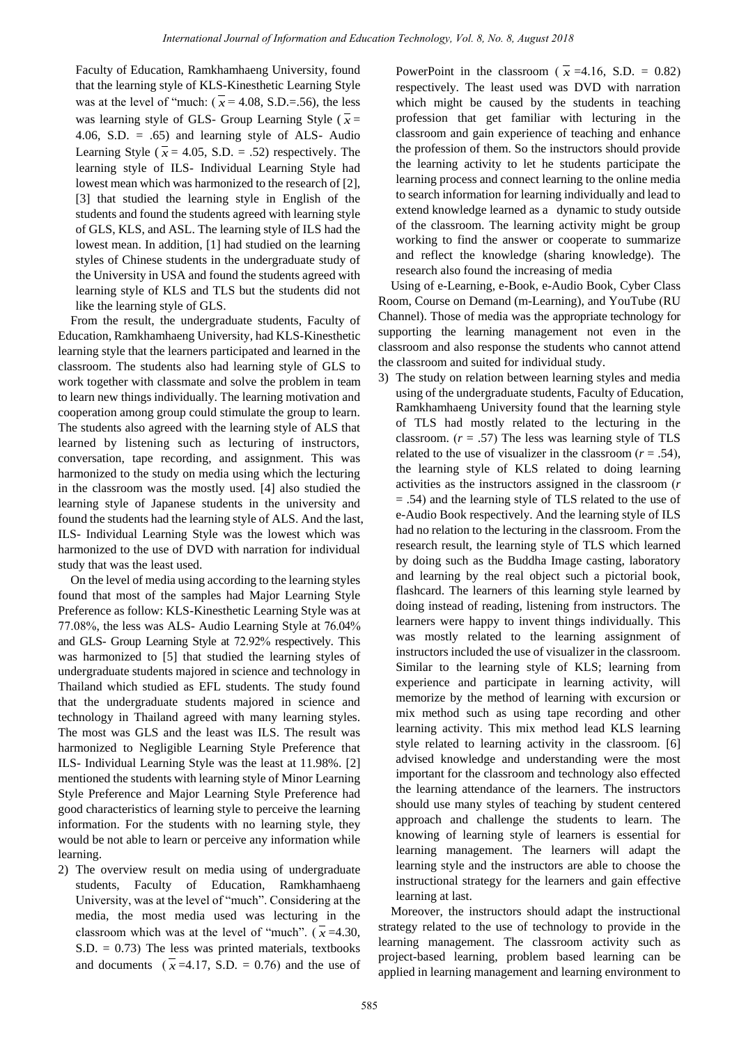Faculty of Education, Ramkhamhaeng University, found that the learning style of KLS-Kinesthetic Learning Style was at the level of "much:  $(\bar{x} = 4.08, S.D.=0.56)$ , the less was learning style of GLS- Group Learning Style  $(\bar{x})$ 4.06, S.D.  $= .65$ ) and learning style of ALS- Audio Learning Style ( $\bar{x}$  = 4.05, S.D. = .52) respectively. The learning style of ILS- Individual Learning Style had lowest mean which was harmonized to the research of [2], [3] that studied the learning style in English of the students and found the students agreed with learning style of GLS, KLS, and ASL. The learning style of ILS had the lowest mean. In addition, [1] had studied on the learning styles of Chinese students in the undergraduate study of the University in USA and found the students agreed with learning style of KLS and TLS but the students did not like the learning style of GLS.

From the result, the undergraduate students, Faculty of Education, Ramkhamhaeng University, had KLS-Kinesthetic learning style that the learners participated and learned in the classroom. The students also had learning style of GLS to work together with classmate and solve the problem in team to learn new things individually. The learning motivation and cooperation among group could stimulate the group to learn. The students also agreed with the learning style of ALS that learned by listening such as lecturing of instructors, conversation, tape recording, and assignment. This was harmonized to the study on media using which the lecturing in the classroom was the mostly used. [4] also studied the learning style of Japanese students in the university and found the students had the learning style of ALS. And the last, ILS- Individual Learning Style was the lowest which was harmonized to the use of DVD with narration for individual study that was the least used.

On the level of media using according to the learning styles found that most of the samples had Major Learning Style Preference as follow: KLS-Kinesthetic Learning Style was at 77.08%, the less was ALS- Audio Learning Style at 76.04% and GLS- Group Learning Style at 72.92% respectively. This was harmonized to [5] that studied the learning styles of undergraduate students majored in science and technology in Thailand which studied as EFL students. The study found that the undergraduate students majored in science and technology in Thailand agreed with many learning styles. The most was GLS and the least was ILS. The result was harmonized to Negligible Learning Style Preference that ILS- Individual Learning Style was the least at 11.98%. [2] mentioned the students with learning style of Minor Learning Style Preference and Major Learning Style Preference had good characteristics of learning style to perceive the learning information. For the students with no learning style, they would be not able to learn or perceive any information while learning.

2) The overview result on media using of undergraduate students, Faculty of Education, Ramkhamhaeng University, was at the level of "much". Considering at the media, the most media used was lecturing in the classroom which was at the level of "much".  $(\bar{x} = 4.30,$  $S.D. = 0.73$ ) The less was printed materials, textbooks and documents  $(\bar{x} = 4.17, S.D. = 0.76)$  and the use of

PowerPoint in the classroom ( $\overline{x}$  =4.16, S.D. = 0.82) respectively. The least used was DVD with narration which might be caused by the students in teaching profession that get familiar with lecturing in the classroom and gain experience of teaching and enhance the profession of them. So the instructors should provide the learning activity to let he students participate the learning process and connect learning to the online media to search information for learning individually and lead to extend knowledge learned as a dynamic to study outside of the classroom. The learning activity might be group working to find the answer or cooperate to summarize and reflect the knowledge (sharing knowledge). The research also found the increasing of media

Using of e-Learning, e-Book, e-Audio Book, Cyber Class Room, Course on Demand (m-Learning), and YouTube (RU Channel). Those of media was the appropriate technology for supporting the learning management not even in the classroom and also response the students who cannot attend the classroom and suited for individual study.

3) The study on relation between learning styles and media using of the undergraduate students, Faculty of Education, Ramkhamhaeng University found that the learning style of TLS had mostly related to the lecturing in the classroom.  $(r = .57)$  The less was learning style of TLS related to the use of visualizer in the classroom  $(r = .54)$ , the learning style of KLS related to doing learning activities as the instructors assigned in the classroom (*r* = .54) and the learning style of TLS related to the use of e-Audio Book respectively. And the learning style of ILS had no relation to the lecturing in the classroom. From the research result, the learning style of TLS which learned by doing such as the Buddha Image casting, laboratory and learning by the real object such a pictorial book, flashcard. The learners of this learning style learned by doing instead of reading, listening from instructors. The learners were happy to invent things individually. This was mostly related to the learning assignment of instructors included the use of visualizer in the classroom. Similar to the learning style of KLS; learning from experience and participate in learning activity, will memorize by the method of learning with excursion or mix method such as using tape recording and other learning activity. This mix method lead KLS learning style related to learning activity in the classroom. [6] advised knowledge and understanding were the most important for the classroom and technology also effected the learning attendance of the learners. The instructors should use many styles of teaching by student centered approach and challenge the students to learn. The knowing of learning style of learners is essential for learning management. The learners will adapt the learning style and the instructors are able to choose the instructional strategy for the learners and gain effective learning at last.

Moreover, the instructors should adapt the instructional strategy related to the use of technology to provide in the learning management. The classroom activity such as project-based learning, problem based learning can be applied in learning management and learning environment to